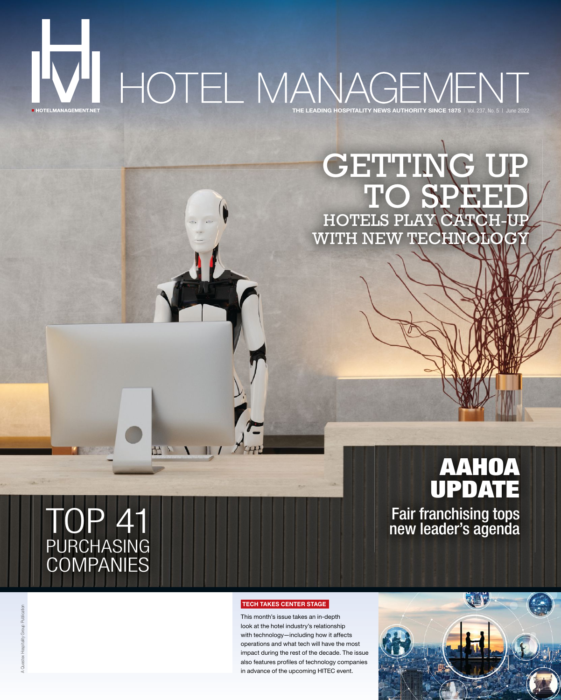# THE LEADING HOSPITALITY NEWS AUTHORITY SINCE 1875 | Vol. 237, No. 5 | June 2022 **E HOTELMANAGEMENT.NET**

## GETTIN D SPEE HOTELS PLAY CATCH-UP WITH NEW TECHNOLOGY

# AAHOA UPDATE OP 41 new leader's agenda

# PURCHASING **COMPANIES**

出 V V II /

#### TECH TAKES CENTER STAGE

This month's issue takes an in-depth look at the hotel industry's relationship with technology—including how it affects operations and what tech will have the most impact during the rest of the decade. The issue also features profiles of technology companies in advance of the upcoming HITEC event.